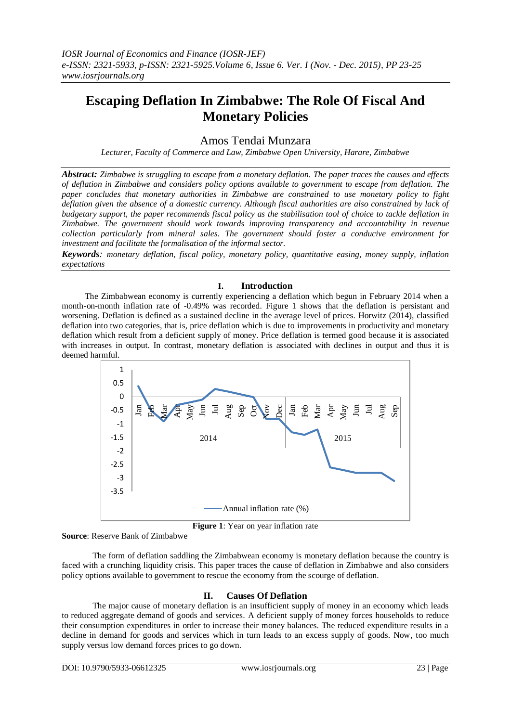# **Escaping Deflation In Zimbabwe: The Role Of Fiscal And Monetary Policies**

# Amos Tendai Munzara

*Lecturer, Faculty of Commerce and Law, Zimbabwe Open University, Harare, Zimbabwe*

*Abstract: Zimbabwe is struggling to escape from a monetary deflation. The paper traces the causes and effects of deflation in Zimbabwe and considers policy options available to government to escape from deflation. The paper concludes that monetary authorities in Zimbabwe are constrained to use monetary policy to fight deflation given the absence of a domestic currency. Although fiscal authorities are also constrained by lack of budgetary support, the paper recommends fiscal policy as the stabilisation tool of choice to tackle deflation in Zimbabwe. The government should work towards improving transparency and accountability in revenue collection particularly from mineral sales. The government should foster a conducive environment for investment and facilitate the formalisation of the informal sector.*

*Keywords: monetary deflation, fiscal policy, monetary policy, quantitative easing, money supply, inflation expectations*

#### **I. Introduction**

The Zimbabwean economy is currently experiencing a deflation which begun in February 2014 when a month-on-month inflation rate of -0.49% was recorded. Figure 1 shows that the deflation is persistant and worsening. Deflation is defined as a sustained decline in the average level of prices. Horwitz (2014), classified deflation into two categories, that is, price deflation which is due to improvements in productivity and monetary deflation which result from a deficient supply of money. Price deflation is termed good because it is associated with increases in output. In contrast, monetary deflation is associated with declines in output and thus it is deemed harmful.



**Figure 1**: Year on year inflation rate

**Source**: Reserve Bank of Zimbabwe

The form of deflation saddling the Zimbabwean economy is monetary deflation because the country is faced with a crunching liquidity crisis. This paper traces the cause of deflation in Zimbabwe and also considers policy options available to government to rescue the economy from the scourge of deflation.

# **II. Causes Of Deflation**

The major cause of monetary deflation is an insufficient supply of money in an economy which leads to reduced aggregate demand of goods and services. A deficient supply of money forces households to reduce their consumption expenditures in order to increase their money balances. The reduced expenditure results in a decline in demand for goods and services which in turn leads to an excess supply of goods. Now, too much supply versus low demand forces prices to go down.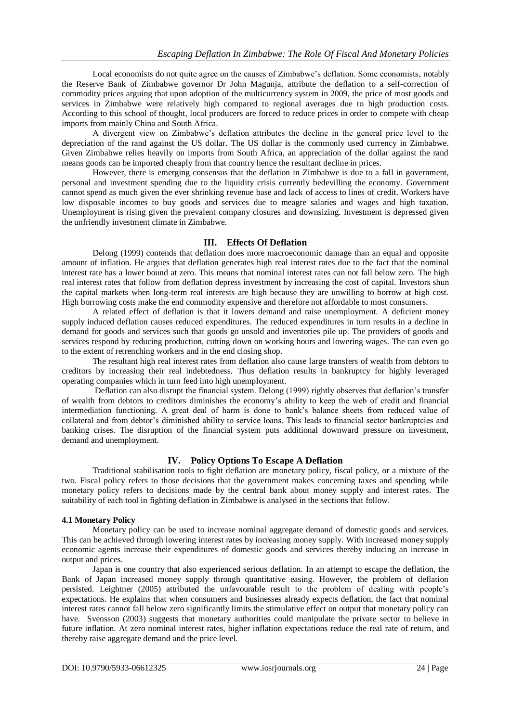Local economists do not quite agree on the causes of Zimbabwe's deflation. Some economists, notably the Reserve Bank of Zimbabwe governor Dr John Magunja, attribute the deflation to a self-correction of commodity prices arguing that upon adoption of the multicurrency system in 2009, the price of most goods and services in Zimbabwe were relatively high compared to regional averages due to high production costs. According to this school of thought, local producers are forced to reduce prices in order to compete with cheap imports from mainly China and South Africa.

A divergent view on Zimbabwe's deflation attributes the decline in the general price level to the depreciation of the rand against the US dollar. The US dollar is the commonly used currency in Zimbabwe. Given Zimbabwe relies heavily on imports from South Africa, an appreciation of the dollar against the rand means goods can be imported cheaply from that country hence the resultant decline in prices.

However, there is emerging consensus that the deflation in Zimbabwe is due to a fall in government, personal and investment spending due to the liquidity crisis currently bedevilling the economy. Government cannot spend as much given the ever shrinking revenue base and lack of access to lines of credit. Workers have low disposable incomes to buy goods and services due to meagre salaries and wages and high taxation. Unemployment is rising given the prevalent company closures and downsizing. Investment is depressed given the unfriendly investment climate in Zimbabwe.

# **III. Effects Of Deflation**

Delong (1999) contends that deflation does more macroeconomic damage than an equal and opposite amount of inflation. He argues that deflation generates high real interest rates due to the fact that the nominal interest rate has a lower bound at zero. This means that nominal interest rates can not fall below zero. The high real interest rates that follow from deflation depress investment by increasing the cost of capital. Investors shun the capital markets when long-term real interests are high because they are unwilling to borrow at high cost. High borrowing costs make the end commodity expensive and therefore not affordable to most consumers.

A related effect of deflation is that it lowers demand and raise unemployment. A deficient money supply induced deflation causes reduced expenditures. The reduced expenditures in turn results in a decline in demand for goods and services such that goods go unsold and inventories pile up. The providers of goods and services respond by reducing production, cutting down on working hours and lowering wages. The can even go to the extent of retrenching workers and in the end closing shop.

The resultant high real interest rates from deflation also cause large transfers of wealth from debtors to creditors by increasing their real indebtedness. Thus deflation results in bankruptcy for highly leveraged operating companies which in turn feed into high unemployment.

Deflation can also disrupt the financial system. Delong (1999) rightly observes that deflation's transfer of wealth from debtors to creditors diminishes the economy's ability to keep the web of credit and financial intermediation functioning. A great deal of harm is done to bank's balance sheets from reduced value of collateral and from debtor's diminished ability to service loans. This leads to financial sector bankruptcies and banking crises. The disruption of the financial system puts additional downward pressure on investment, demand and unemployment.

# **IV. Policy Options To Escape A Deflation**

Traditional stabilisation tools to fight deflation are monetary policy, fiscal policy, or a mixture of the two. Fiscal policy refers to those decisions that the government makes concerning taxes and spending while monetary policy refers to decisions made by the central bank about money supply and interest rates. The suitability of each tool in fighting deflation in Zimbabwe is analysed in the sections that follow.

# **4.1 Monetary Policy**

Monetary policy can be used to increase nominal aggregate demand of domestic goods and services. This can be achieved through lowering interest rates by increasing money supply. With increased money supply economic agents increase their expenditures of domestic goods and services thereby inducing an increase in output and prices.

Japan is one country that also experienced serious deflation. In an attempt to escape the deflation, the Bank of Japan increased money supply through quantitative easing. However, the problem of deflation persisted. Leightner (2005) attributed the unfavourable result to the problem of dealing with people's expectations. He explains that when consumers and businesses already expects deflation, the fact that nominal interest rates cannot fall below zero significantly limits the stimulative effect on output that monetary policy can have. Svensson (2003) suggests that monetary authorities could manipulate the private sector to believe in future inflation. At zero nominal interest rates, higher inflation expectations reduce the real rate of return, and thereby raise aggregate demand and the price level.